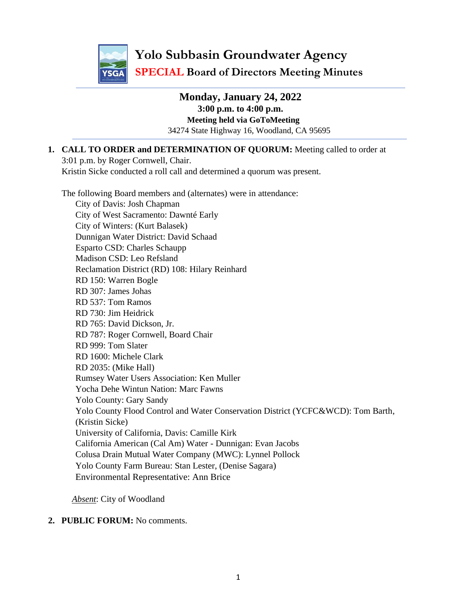

**Monday, January 24, 2022 3:00 p.m. to 4:00 p.m. Meeting held via GoToMeeting** 34274 State Highway 16, Woodland, CA 95695

#### **1. CALL TO ORDER and DETERMINATION OF QUORUM:** Meeting called to order at 3:01 p.m. by Roger Cornwell, Chair. Kristin Sicke conducted a roll call and determined a quorum was present.

The following Board members and (alternates) were in attendance: City of Davis: Josh Chapman City of West Sacramento: Dawnté Early City of Winters: (Kurt Balasek) Dunnigan Water District: David Schaad Esparto CSD: Charles Schaupp Madison CSD: Leo Refsland Reclamation District (RD) 108: Hilary Reinhard RD 150: Warren Bogle RD 307: James Johas RD 537: Tom Ramos RD 730: Jim Heidrick RD 765: David Dickson, Jr. RD 787: Roger Cornwell, Board Chair RD 999: Tom Slater RD 1600: Michele Clark RD 2035: (Mike Hall) Rumsey Water Users Association: Ken Muller Yocha Dehe Wintun Nation: Marc Fawns Yolo County: Gary Sandy Yolo County Flood Control and Water Conservation District (YCFC&WCD): Tom Barth, (Kristin Sicke) University of California, Davis: Camille Kirk California American (Cal Am) Water - Dunnigan: Evan Jacobs Colusa Drain Mutual Water Company (MWC): Lynnel Pollock Yolo County Farm Bureau: Stan Lester, (Denise Sagara) Environmental Representative: Ann Brice

*Absent*: City of Woodland

# **2. PUBLIC FORUM:** No comments.